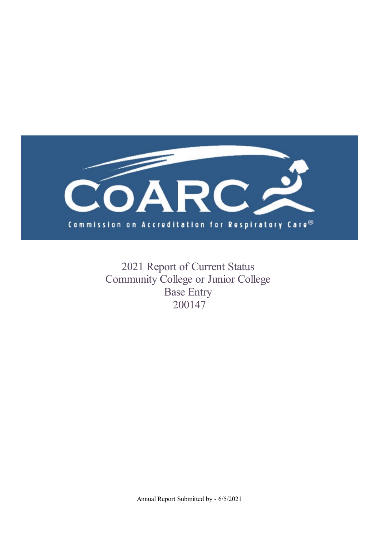

2021 Report of Current Status Community College or Junior College Base Entry 200147

Annual Report Submitted by - 6/5/2021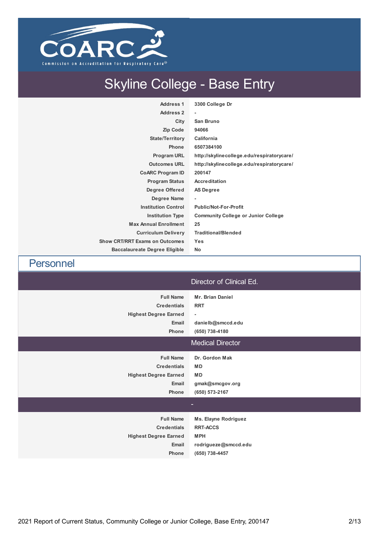

# Skyline College - Base Entry

| <b>Address 1</b>                      | 3300 College Dr                            |
|---------------------------------------|--------------------------------------------|
| <b>Address 2</b>                      | ٠                                          |
| City                                  | San Bruno                                  |
| <b>Zip Code</b>                       | 94066                                      |
| <b>State/Territory</b>                | California                                 |
| <b>Phone</b>                          | 6507384100                                 |
| Program URL                           | http://skylinecollege.edu/respiratorycare/ |
| <b>Outcomes URL</b>                   | http://skylinecollege.edu/respiratorycare/ |
| <b>CoARC Program ID</b>               | 200147                                     |
| <b>Program Status</b>                 | <b>Accreditation</b>                       |
| Degree Offered                        | <b>AS Degree</b>                           |
| Degree Name                           | ٠                                          |
| <b>Institution Control</b>            | <b>Public/Not-For-Profit</b>               |
| <b>Institution Type</b>               | <b>Community College or Junior College</b> |
| <b>Max Annual Enrollment</b>          | 25                                         |
| <b>Curriculum Delivery</b>            | <b>Traditional/Blended</b>                 |
| <b>Show CRT/RRT Exams on Outcomes</b> | <b>Yes</b>                                 |
| <b>Baccalaureate Degree Eligible</b>  | No                                         |

Personnel Director of Clinical Ed. **Full Name Mr. Brian Daniel Credentials RRT Highest Degree Earned - Email danielb@smccd.edu Phone (650) 738-4180** Medical Director **Full Name Dr. Gordon Mak Credentials MD Highest Degree Earned MD Email gmak@smcgov.org Phone (650) 573-2167 Full Name Ms. Elayne Rodriguez Credentials RRT-ACCS Highest Degree Earned MPH Email rodrigueze@smccd.edu Phone (650) 738-4457**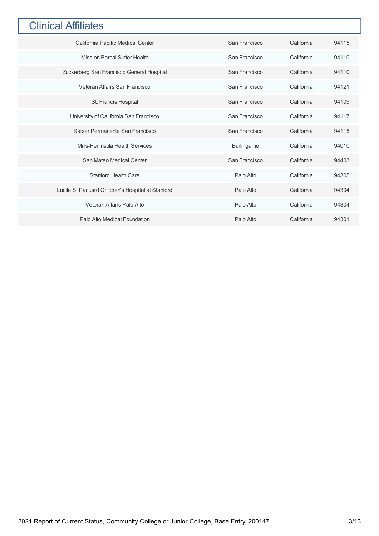## **Clinical Affiliates**

| California Pacific Medical Center                 | San Francisco     | California | 94115 |
|---------------------------------------------------|-------------------|------------|-------|
| <b>Mission Bernal Sutter Health</b>               | San Francisco     | California | 94110 |
| Zuckerberg San Francisco General Hospital         | San Francisco     | California | 94110 |
| Veteran Affairs San Francisco                     | San Francisco     | California | 94121 |
| St. Francis Hospital                              | San Francisco     | California | 94109 |
| University of California San Francisco            | San Francisco     | California | 94117 |
| Kaiser Permanente San Francisco                   | San Francisco     | California | 94115 |
| Mills-Peninsula Health Services                   | <b>Burlingame</b> | California | 94010 |
| San Mateo Medical Center                          | San Francisco     | California | 94403 |
| Stanford Health Care                              | Palo Alto         | California | 94305 |
| Lucile S. Packard Children's Hospital at Stanford | Palo Alto         | California | 94304 |
| Veteran Affairs Palo Alto                         | Palo Alto         | California | 94304 |
| Palo Alto Medical Foundation                      | Palo Alto         | California | 94301 |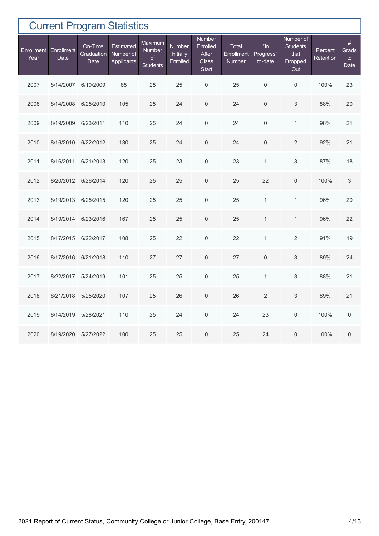|                    |                    |                               | <b>Current Program Statistics</b>    |                                            |                                        |                                                      |                                      |                                |                                                               |                      |                             |
|--------------------|--------------------|-------------------------------|--------------------------------------|--------------------------------------------|----------------------------------------|------------------------------------------------------|--------------------------------------|--------------------------------|---------------------------------------------------------------|----------------------|-----------------------------|
| Enrollment<br>Year | Enrollment<br>Date | On-Time<br>Graduation<br>Date | Estimated<br>Number of<br>Applicants | Maximum<br>Number<br>of<br><b>Students</b> | Number<br><b>Initially</b><br>Enrolled | <b>Number</b><br>Enrolled<br>After<br>Class<br>Start | <b>Total</b><br>Enrollment<br>Number | $"$ In<br>Progress"<br>to-date | Number of<br><b>Students</b><br>that<br><b>Dropped</b><br>Out | Percent<br>Retention | $\#$<br>Grads<br>to<br>Date |
| 2007               | 8/14/2007          | 6/19/2009                     | 85                                   | 25                                         | 25                                     | $\mathbf 0$                                          | 25                                   | $\mathsf{O}\xspace$            | $\mathbf 0$                                                   | 100%                 | 23                          |
| 2008               | 8/14/2008          | 6/25/2010                     | 105                                  | 25                                         | 24                                     | $\boldsymbol{0}$                                     | 24                                   | $\mathbf{0}$                   | 3                                                             | 88%                  | 20                          |
| 2009               | 8/19/2009          | 6/23/2011                     | 110                                  | 25                                         | 24                                     | $\mathsf{O}\xspace$                                  | 24                                   | $\mathsf{O}\xspace$            | $\mathbf{1}$                                                  | 96%                  | 21                          |
| 2010               | 8/16/2010          | 6/22/2012                     | 130                                  | 25                                         | 24                                     | $\mathbf 0$                                          | 24                                   | $\mathbf{0}$                   | 2                                                             | 92%                  | 21                          |
| 2011               | 8/16/2011          | 6/21/2013                     | 120                                  | 25                                         | 23                                     | $\mathbf 0$                                          | 23                                   | $\mathbf{1}$                   | 3                                                             | 87%                  | 18                          |
| 2012               | 8/20/2012          | 6/26/2014                     | 120                                  | 25                                         | 25                                     | $\mathbf 0$                                          | 25                                   | 22                             | $\mathbf{0}$                                                  | 100%                 | $\ensuremath{\mathsf{3}}$   |
| 2013               | 8/19/2013          | 6/25/2015                     | 120                                  | 25                                         | 25                                     | $\mathsf{O}\xspace$                                  | 25                                   | $\mathbf{1}$                   | $\mathbf{1}$                                                  | 96%                  | 20                          |
| 2014               | 8/19/2014          | 6/23/2016                     | 167                                  | 25                                         | 25                                     | $\mathsf{O}\xspace$                                  | 25                                   | $\mathbf{1}$                   | $\mathbf{1}$                                                  | 96%                  | 22                          |
| 2015               | 8/17/2015          | 6/22/2017                     | 108                                  | 25                                         | 22                                     | $\mathbf 0$                                          | 22                                   | $\mathbf{1}$                   | $\overline{2}$                                                | 91%                  | 19                          |
| 2016               | 8/17/2016          | 6/21/2018                     | 110                                  | 27                                         | 27                                     | $\mathbf 0$                                          | 27                                   | $\boldsymbol{0}$               | 3                                                             | 89%                  | 24                          |
| 2017               | 8/22/2017          | 5/24/2019                     | 101                                  | 25                                         | 25                                     | $\mathsf{O}\xspace$                                  | 25                                   | $\mathbf{1}$                   | 3                                                             | 88%                  | 21                          |
| 2018               | 8/21/2018          | 5/25/2020                     | 107                                  | 25                                         | 26                                     | $\boldsymbol{0}$                                     | 26                                   | $\overline{2}$                 | 3                                                             | 89%                  | 21                          |
| 2019               | 8/14/2019          | 5/28/2021                     | 110                                  | 25                                         | 24                                     | $\mathbf 0$                                          | 24                                   | 23                             | $\mathbf 0$                                                   | 100%                 | $\mathbf 0$                 |
| 2020               | 8/19/2020          | 5/27/2022                     | 100                                  | 25                                         | 25                                     | $\boldsymbol{0}$                                     | 25                                   | 24                             | $\overline{0}$                                                | 100%                 | $\boldsymbol{0}$            |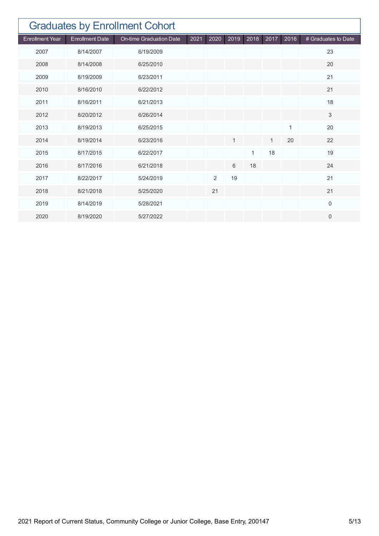| <b>Graduates by Enrollment Cohort</b> |                        |                         |      |                |      |              |              |              |                     |  |  |
|---------------------------------------|------------------------|-------------------------|------|----------------|------|--------------|--------------|--------------|---------------------|--|--|
| <b>Enrollment Year</b>                | <b>Enrollment Date</b> | On-time Graduation Date | 2021 | 2020           | 2019 | 2018         | 2017         | 2016         | # Graduates to Date |  |  |
| 2007                                  | 8/14/2007              | 6/19/2009               |      |                |      |              |              |              | 23                  |  |  |
| 2008                                  | 8/14/2008              | 6/25/2010               |      |                |      |              |              |              | 20                  |  |  |
| 2009                                  | 8/19/2009              | 6/23/2011               |      |                |      |              |              |              | 21                  |  |  |
| 2010                                  | 8/16/2010              | 6/22/2012               |      |                |      |              |              |              | 21                  |  |  |
| 2011                                  | 8/16/2011              | 6/21/2013               |      |                |      |              |              |              | 18                  |  |  |
| 2012                                  | 8/20/2012              | 6/26/2014               |      |                |      |              |              |              | 3                   |  |  |
| 2013                                  | 8/19/2013              | 6/25/2015               |      |                |      |              |              | $\mathbf{1}$ | 20                  |  |  |
| 2014                                  | 8/19/2014              | 6/23/2016               |      |                | 1    |              | $\mathbf{1}$ | 20           | 22                  |  |  |
| 2015                                  | 8/17/2015              | 6/22/2017               |      |                |      | $\mathbf{1}$ | 18           |              | 19                  |  |  |
| 2016                                  | 8/17/2016              | 6/21/2018               |      |                | 6    | 18           |              |              | 24                  |  |  |
| 2017                                  | 8/22/2017              | 5/24/2019               |      | $\overline{2}$ | 19   |              |              |              | 21                  |  |  |
| 2018                                  | 8/21/2018              | 5/25/2020               |      | 21             |      |              |              |              | 21                  |  |  |
| 2019                                  | 8/14/2019              | 5/28/2021               |      |                |      |              |              |              | $\overline{0}$      |  |  |
| 2020                                  | 8/19/2020              | 5/27/2022               |      |                |      |              |              |              | $\mathbf{0}$        |  |  |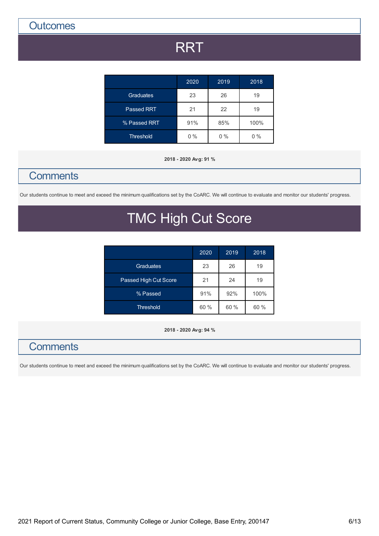**Outcomes** 

# **RRT**

|                   | 2020  | 2019  | 2018  |
|-------------------|-------|-------|-------|
| <b>Graduates</b>  | 23    | 26    | 19    |
| <b>Passed RRT</b> | 21    | 22    | 19    |
| % Passed RRT      | 91%   | 85%   | 100%  |
| <b>Threshold</b>  | $0\%$ | $0\%$ | $0\%$ |

#### **2018 - 2020 Avg: 91 %**

## **Comments**

Our students continue to meet and exceed the minimum qualifications set by the CoARC. We will continue to evaluate and monitor our students' progress.

# TMC High Cut Score

|                       | 2020 | 2019 | 2018 |
|-----------------------|------|------|------|
| <b>Graduates</b>      | 23   | 26   | 19   |
| Passed High Cut Score | 21   | 24   | 19   |
| % Passed              | 91%  | 92%  | 100% |
| <b>Threshold</b>      | 60%  | 60%  | 60%  |

**2018 - 2020 Avg: 94 %**

## **Comments**

Our students continue to meet and exceed the minimum qualifications set by the CoARC. We will continue to evaluate and monitor our students' progress.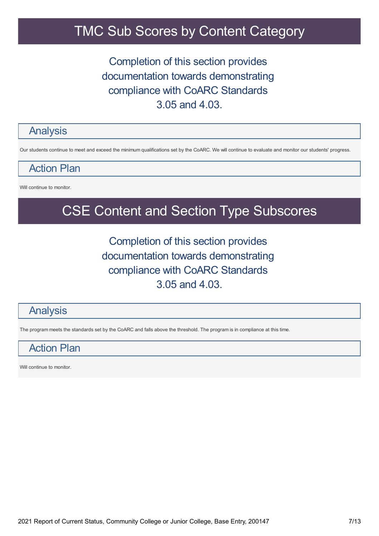# TMC Sub Scores by Content Category

## Completion of this section provides documentation towards demonstrating compliance with CoARC Standards 3.05 and 4.03.

### Analysis

Our students continue to meet and exceed the minimum qualifications set by the CoARC. We will continue to evaluate and monitor our students' progress.

Action Plan

Will continue to monitor.

# CSE Content and Section Type Subscores

Completion of this section provides documentation towards demonstrating compliance with CoARC Standards 3.05 and 4.03.

### Analysis

The program meets the standards set by the CoARC and falls above the threshold. The program is in compliance at this time.

## Action Plan

Will continue to monitor.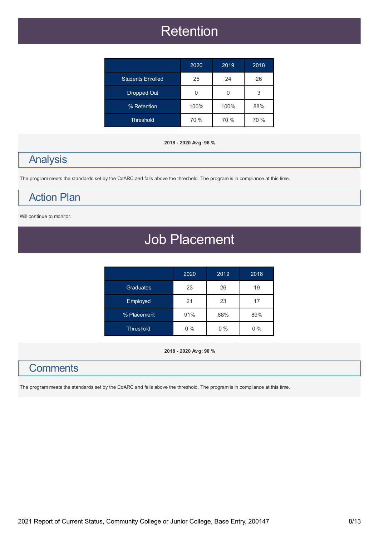# **Retention**

|                          | 2020 | 2019 | 2018 |
|--------------------------|------|------|------|
| <b>Students Enrolled</b> | 25   | 24   | 26   |
| Dropped Out              | U    | U    | 3    |
| % Retention              | 100% | 100% | 88%  |
| <b>Threshold</b>         | 70 % | 70 % | 70 % |

#### **2018 - 2020 Avg: 96 %**

## Analysis

The program meets the standards set by the CoARC and falls above the threshold. The program is in compliance at this time.

## Action Plan

Will continue to monitor.

# Job Placement

|                  | 2020  | 2019  | 2018  |
|------------------|-------|-------|-------|
| Graduates        | 23    | 26    | 19    |
| Employed         | 21    | 23    | 17    |
| % Placement      | 91%   | 88%   | 89%   |
| <b>Threshold</b> | $0\%$ | $0\%$ | $0\%$ |

**2018 - 2020 Avg: 90 %**

## **Comments**

The program meets the standards set by the CoARC and falls above the threshold. The program is in compliance at this time.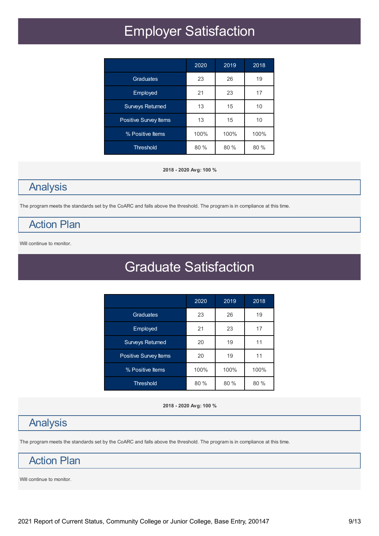# Employer Satisfaction

|                         | 2020   | 2019 | 2018 |
|-------------------------|--------|------|------|
| Graduates               | 23     | 26   | 19   |
| Employed                | 21     | 23   | 17   |
| <b>Surveys Returned</b> | 13     | 15   | 10   |
| Positive Survey Items   | 13     | 15   | 10   |
| % Positive Items        | 100%   | 100% | 100% |
| <b>Threshold</b>        | $80\%$ | 80%  | 80%  |

**2018 - 2020 Avg: 100 %**

# Analysis

The program meets the standards set by the CoARC and falls above the threshold. The program is in compliance at this time.

## Action Plan

Will continue to monitor.

# Graduate Satisfaction

|                         | 2020 | 2019 | 2018 |
|-------------------------|------|------|------|
| Graduates               | 23   | 26   | 19   |
| Employed                | 21   | 23   | 17   |
| <b>Surveys Returned</b> | 20   | 19   | 11   |
| Positive Survey Items   | 20   | 19   | 11   |
| % Positive Items        | 100% | 100% | 100% |
| <b>Threshold</b>        | 80%  | 80 % | 80%  |

#### **2018 - 2020 Avg: 100 %**

## Analysis

The program meets the standards set by the CoARC and falls above the threshold. The program is in compliance at this time.

## Action Plan

Will continue to monitor.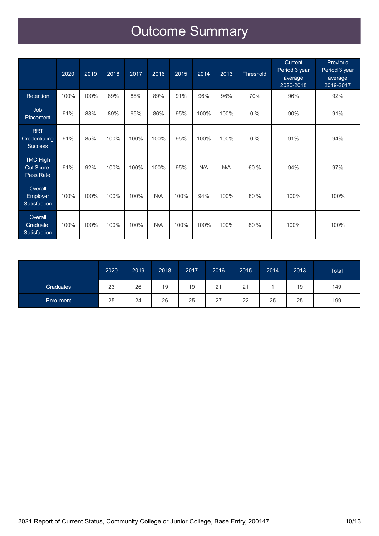# Outcome Summary

|                                                  | $20\overline{20}$ | 2019 | 2018 | 2017 | 2016 | 2015 | 2014 | 2013 | <b>Threshold</b> | Current<br>Period 3 year<br>average<br>2020-2018 | <b>Previous</b><br>Period 3 year<br>average<br>2019-2017 |
|--------------------------------------------------|-------------------|------|------|------|------|------|------|------|------------------|--------------------------------------------------|----------------------------------------------------------|
| <b>Retention</b>                                 | 100%              | 100% | 89%  | 88%  | 89%  | 91%  | 96%  | 96%  | 70%              | 96%                                              | 92%                                                      |
| Job<br><b>Placement</b>                          | 91%               | 88%  | 89%  | 95%  | 86%  | 95%  | 100% | 100% | $0\%$            | 90%                                              | 91%                                                      |
| <b>RRT</b><br>Credentialing<br><b>Success</b>    | 91%               | 85%  | 100% | 100% | 100% | 95%  | 100% | 100% | $0\%$            | 91%                                              | 94%                                                      |
| <b>TMC High</b><br><b>Cut Score</b><br>Pass Rate | 91%               | 92%  | 100% | 100% | 100% | 95%  | N/A  | N/A  | 60 %             | 94%                                              | 97%                                                      |
| Overall<br>Employer<br>Satisfaction              | 100%              | 100% | 100% | 100% | N/A  | 100% | 94%  | 100% | 80 %             | 100%                                             | 100%                                                     |
| Overall<br>Graduate<br>Satisfaction              | 100%              | 100% | 100% | 100% | N/A  | 100% | 100% | 100% | 80 %             | 100%                                             | 100%                                                     |

|                  | 2020 | 2019 | 2018 | 2017 | 2016 | 2015 | 2014 | 2013 | <b>Total</b> |
|------------------|------|------|------|------|------|------|------|------|--------------|
| <b>Graduates</b> | 23   | 26   | 19   | 19   | 21   | 21   |      | 19   | 149          |
| Enrollment       | 25   | 24   | 26   | 25   | 27   | 22   | 25   | 25   | 199          |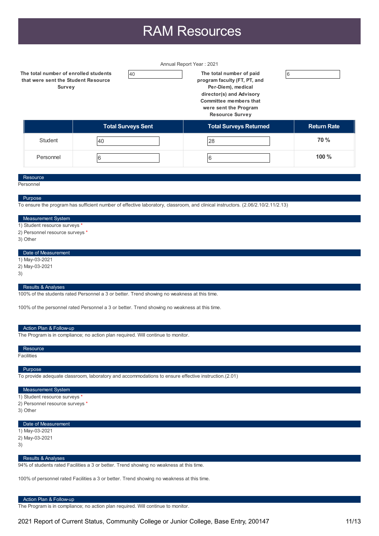# RAM Resources

Annual Report Year : 2021

**The total number of enrolled students that were sent the Student Resource Survey**

40 **The total number of paid program faculty (FT, PT, and Per-Diem), medical**

**director(s) and Advisory Committee members that were sent the Program Resource Survey**

6

|                | <b>Total Surveys Sent</b> | <b>Total Surveys Returned</b> | <b>Return Rate</b> |
|----------------|---------------------------|-------------------------------|--------------------|
| <b>Student</b> | 40                        | 28                            | <b>70 %</b>        |
| Personnel      |                           | b                             | 100%               |

#### **Resource**

**Personnel** 

#### Purpose

To ensure the program has sufficient number of effective laboratory, classroom, and clinical instructors. (2.06/2.10/2.11/2.13)

#### Measurement System

- 1) Student resource surveys
- 2) Personnel resource surveys \*
- 3) Other

#### Date of Measurement

- 1) May-03-2021
- 2) May-03-2021
- 3)
	-

#### Results & Analyses

100% of the students rated Personnel a 3 or better. Trend showing no weakness at this time.

100% of the personnel rated Personnel a 3 or better. Trend showing no weakness at this time.

#### Action Plan & Follow-up

The Program is in compliance; no action plan required. Will continue to monitor.

#### Facilities **Resource**

#### Purpose

To provide adequate classroom, laboratory and accommodations to ensure effective instruction.(2.01)

#### Measurement System

- 1) Student resource surveys
- 2) Personnel resource surveys \*
- 3) Other

#### Date of Measurement

- 1) May-03-2021
- 2) May-03-2021
- 3)

#### Results & Analyses

94% of students rated Facilities a 3 or better. Trend showing no weakness at this time.

100% of personnel rated Facilities a 3 or better. Trend showing no weakness at this time.

#### Action Plan & Follow-up

The Program is in compliance; no action plan required. Will continue to monitor.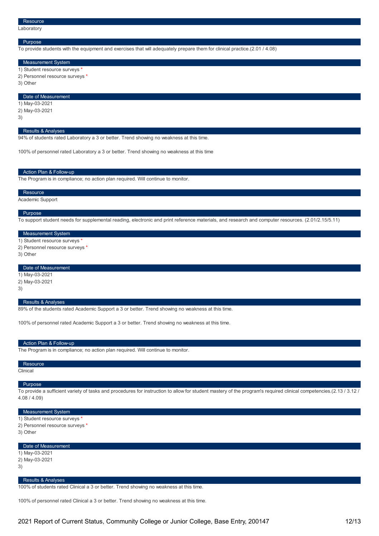#### Purpose

To provide students with the equipment and exercises that will adequately prepare them for clinical practice.(2.01 / 4.08)

#### Measurement System

- 1) Student resource surveys
- 2) Personnel resource surveys \*
- 3) Other

#### Date of Measurement

- 1) May-03-2021
- 2) May-03-2021
- 3)

#### **Results & Analyses**

94% of students rated Laboratory a 3 or better. Trend showing no weakness at this time.

100% of personnel rated Laboratory a 3 or better. Trend showing no weakness at this time

#### Action Plan & Follow-up

The Program is in compliance; no action plan required. Will continue to monitor.

#### Resource

Academic Support

#### Purpose

To support student needs for supplemental reading, electronic and print reference materials, and research and computer resources. (2.01/2.15/5.11)

#### Measurement System

1) Student resource surveys

2) Personnel resource surveys \*

3) Other

#### Date of Measurement

- 1) May-03-2021
- 2) May-03-2021
- 3)

#### Results & Analyses

89% of the students rated Academic Support a 3 or better. Trend showing no weakness at this time.

100% of personnel rated Academic Support a 3 or better. Trend showing no weakness at this time.

#### Action Plan & Follow-up

The Program is in compliance; no action plan required. Will continue to monitor.

#### Resource

Clinical

#### Purpose

To provide a sufficient variety of tasks and procedures for instruction to allow for student mastery of the program's required clinical competencies.(2.13 / 3.12 / 4.08 / 4.09)

#### Measurement System

- 1) Student resource surveys \*
- 2) Personnel resource surveys \*

3) Other

#### Date of Measurement

1) May-03-2021

2) May-03-2021

3)

#### Results & Analyses

100% of students rated Clinical a 3 or better. Trend showing no weakness at this time.

100% of personnel rated Clinical a 3 or better. Trend showing no weakness at this time.